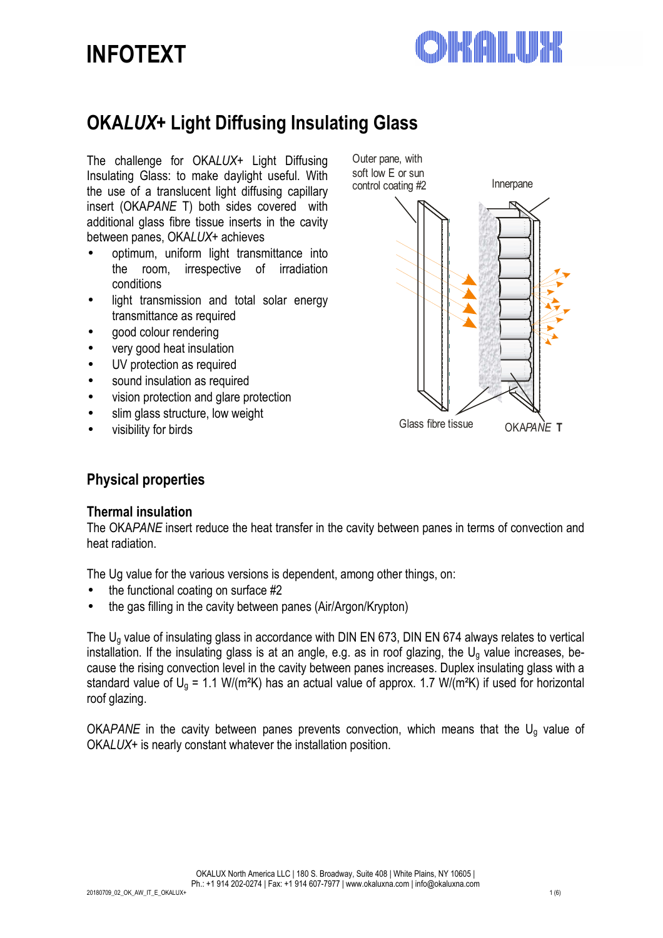# **INFOTEXT**



## **OKA***LUX***+ Light Diffusing Insulating Glass**

The challenge for OKA*LUX*+ Light Diffusing Insulating Glass: to make daylight useful. With the use of a translucent light diffusing capillary insert (OKA*PANE* T) both sides covered with additional glass fibre tissue inserts in the cavity between panes, OKA*LUX*+ achieves

- optimum, uniform light transmittance into the room, irrespective of irradiation conditions
- light transmission and total solar energy transmittance as required
- good colour rendering
- very good heat insulation
- UV protection as required
- sound insulation as required
- vision protection and glare protection
- slim glass structure, low weight
- visibility for birds



## **Physical properties**

## **Thermal insulation**

The OKA*PANE* insert reduce the heat transfer in the cavity between panes in terms of convection and heat radiation.

The Ug value for the various versions is dependent, among other things, on:

- the functional coating on surface #2
- the gas filling in the cavity between panes (Air/Argon/Krypton)

The Ug value of insulating glass in accordance with DIN EN 673, DIN EN 674 always relates to vertical installation. If the insulating glass is at an angle, e.g. as in roof glazing, the  $U_q$  value increases, because the rising convection level in the cavity between panes increases. Duplex insulating glass with a standard value of  $U_g = 1.1$  W/(m<sup>2</sup>K) has an actual value of approx. 1.7 W/(m<sup>2</sup>K) if used for horizontal roof glazing.

OKA*PANE* in the cavity between panes prevents convection, which means that the Ug value of OKA*LUX*+ is nearly constant whatever the installation position.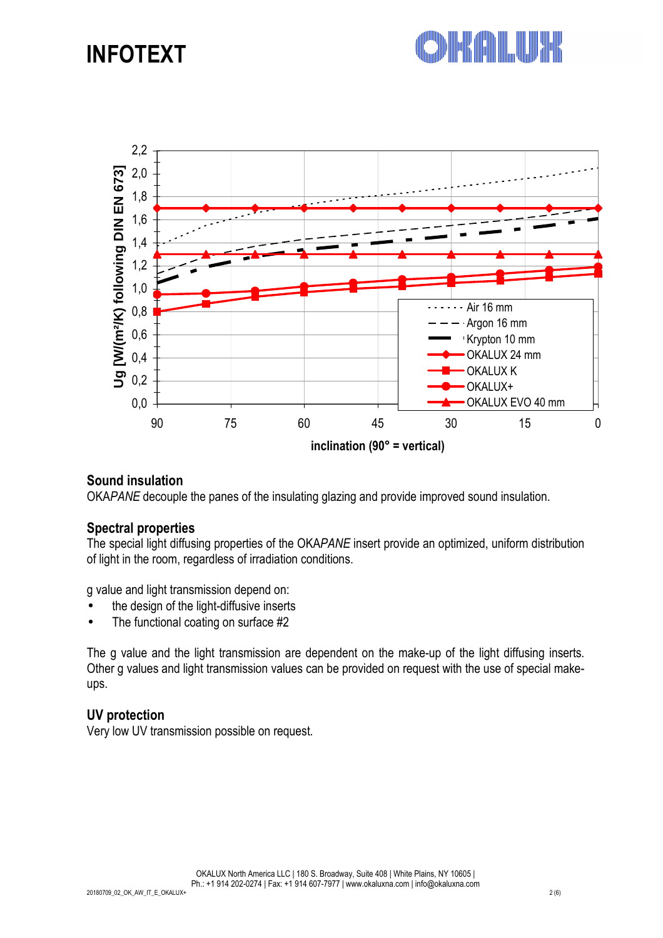## **INFOTEXT**





## **Sound insulation**

OKA*PANE* decouple the panes of the insulating glazing and provide improved sound insulation.

## **Spectral properties**

The special light diffusing properties of the OKA*PANE* insert provide an optimized, uniform distribution of light in the room, regardless of irradiation conditions.

g value and light transmission depend on:

- the design of the light-diffusive inserts
- The functional coating on surface #2

The g value and the light transmission are dependent on the make-up of the light diffusing inserts. Other g values and light transmission values can be provided on request with the use of special makeups.

## **UV protection**

Very low UV transmission possible on request.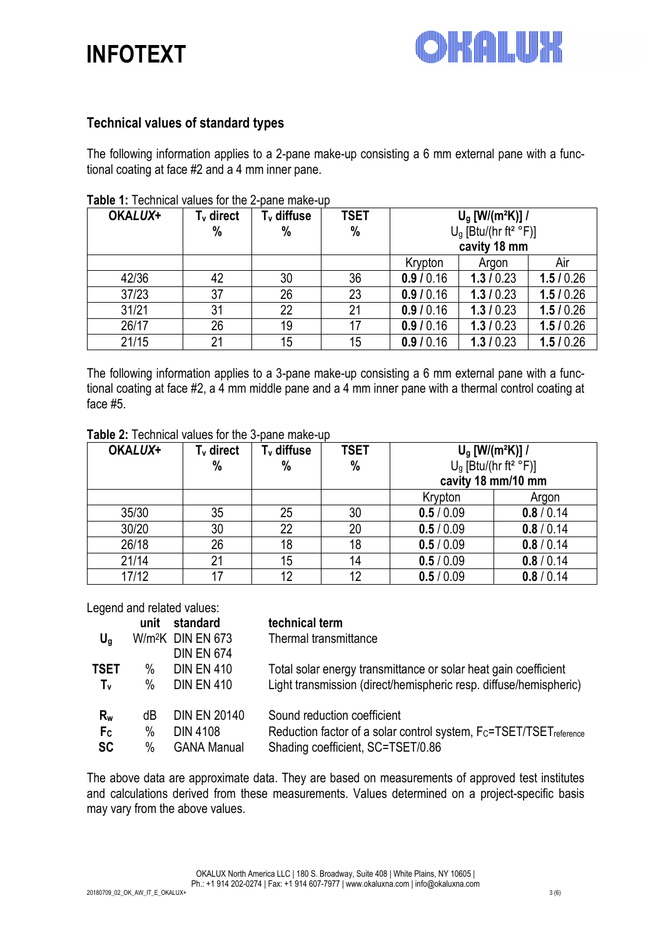



## **Technical values of standard types**

The following information applies to a 2-pane make-up consisting a 6 mm external pane with a functional coating at face #2 and a 4 mm inner pane.

| OKALUX+ | $Tv$ direct | T <sub>v</sub> diffuse | <b>TSET</b> | $U_{\rm g}$ [W/(m <sup>2</sup> K)] / |          |          |
|---------|-------------|------------------------|-------------|--------------------------------------|----------|----------|
|         | %           | $\frac{0}{0}$          | %           | $Ug$ [Btu/(hr ft <sup>2</sup> °F)]   |          |          |
|         |             |                        |             | cavity 18 mm                         |          |          |
|         |             |                        |             | Krypton                              | Argon    | Air      |
| 42/36   | 42          | 30                     | 36          | 0.9 / 0.16                           | 1.3/0.23 | 1.5/0.26 |
| 37/23   | 37          | 26                     | 23          | 0.9 / 0.16                           | 1.3/0.23 | 1.5/0.26 |
| 31/21   | 31          | 22                     | 21          | 0.9 / 0.16                           | 1.3/0.23 | 1.5/0.26 |
| 26/17   | 26          | 19                     | 17          | 0.9 / 0.16                           | 1.3/0.23 | 1.5/0.26 |
| 21/15   | 21          | 15                     | 15          | 0.9 / 0.16                           | 1.3/0.23 | 1.5/0.26 |

#### **Table 1:** Technical values for the 2-pane make-up

The following information applies to a 3-pane make-up consisting a 6 mm external pane with a functional coating at face #2, a 4 mm middle pane and a 4 mm inner pane with a thermal control coating at face #5.

| OKALUX+ | $Tv$ direct<br>% | T <sub>v</sub> diffuse<br>$\%$ | <b>TSET</b><br>$\%$ | $U_{g}$ [W/(m <sup>2</sup> K)] /<br>$U_g$ [Btu/(hr ft <sup>2</sup> °F)]<br>cavity 18 mm/10 mm |            |
|---------|------------------|--------------------------------|---------------------|-----------------------------------------------------------------------------------------------|------------|
|         |                  |                                |                     | Krypton                                                                                       | Argon      |
| 35/30   | 35               | 25                             | 30                  | 0.5/0.09                                                                                      | 0.8 / 0.14 |
| 30/20   | 30               | 22                             | 20                  | 0.5/0.09                                                                                      | 0.8 / 0.14 |
| 26/18   | 26               | 18                             | 18                  | 0.5/0.09                                                                                      | 0.8 / 0.14 |
| 21/14   | 21               | 15                             | 14                  | 0.5/0.09                                                                                      | 0.8 / 0.14 |
| 17/12   |                  | 12                             | 12                  | 0.5/0.09                                                                                      | 0.8 / 0.14 |

#### **Table 2:** Technical values for the 3-pane make-up

Legend and related values:

|                | unit | standard                      | technical term                                                                |
|----------------|------|-------------------------------|-------------------------------------------------------------------------------|
| $U_q$          |      | W/m <sup>2</sup> K DIN EN 673 | Thermal transmittance                                                         |
|                |      | <b>DIN EN 674</b>             |                                                                               |
| <b>TSET</b>    | $\%$ | <b>DIN EN 410</b>             | Total solar energy transmittance or solar heat gain coefficient               |
| $T_{\rm v}$    | $\%$ | <b>DIN EN 410</b>             | Light transmission (direct/hemispheric resp. diffuse/hemispheric)             |
| $R_{w}$        | dB   | <b>DIN EN 20140</b>           | Sound reduction coefficient                                                   |
| F <sub>c</sub> | %    | <b>DIN 4108</b>               | Reduction factor of a solar control system, Fc=TSET/TSET <sub>reference</sub> |
| <b>SC</b>      | $\%$ | <b>GANA Manual</b>            | Shading coefficient, SC=TSET/0.86                                             |

The above data are approximate data. They are based on measurements of approved test institutes and calculations derived from these measurements. Values determined on a project-specific basis may vary from the above values.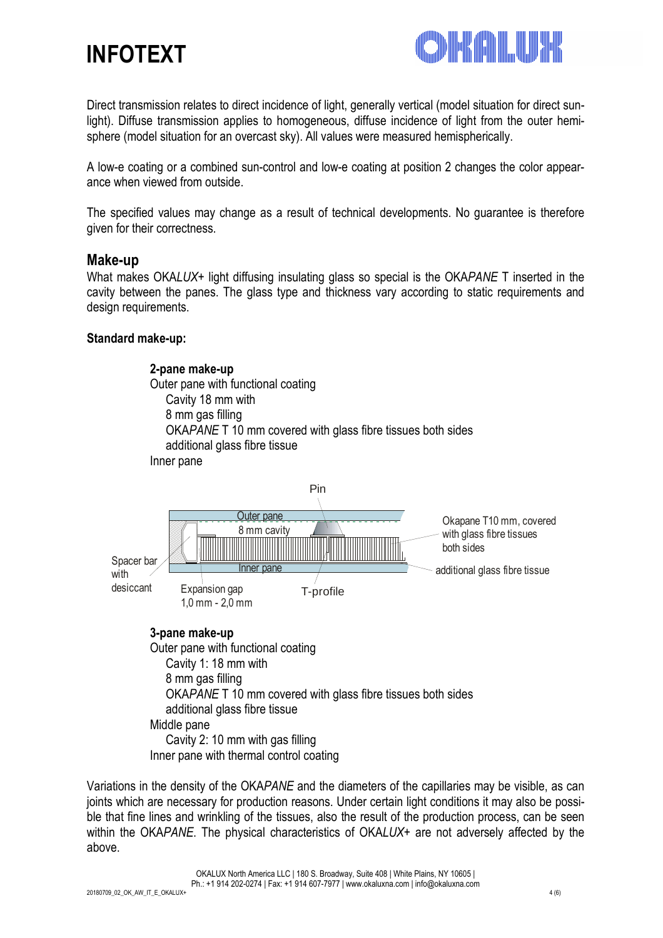



Direct transmission relates to direct incidence of light, generally vertical (model situation for direct sunlight). Diffuse transmission applies to homogeneous, diffuse incidence of light from the outer hemisphere (model situation for an overcast sky). All values were measured hemispherically.

A low-e coating or a combined sun-control and low-e coating at position 2 changes the color appearance when viewed from outside.

The specified values may change as a result of technical developments. No guarantee is therefore given for their correctness.

#### **Make-up**

What makes OKA*LUX*+ light diffusing insulating glass so special is the OKA*PANE* T inserted in the cavity between the panes. The glass type and thickness vary according to static requirements and design requirements.

#### **Standard make-up:**

**2-pane make-up**  Outer pane with functional coating Cavity 18 mm with 8 mm gas filling OKA*PANE* T 10 mm covered with glass fibre tissues both sides additional glass fibre tissue Inner pane



#### **3-pane make-up**

Outer pane with functional coating Cavity 1: 18 mm with 8 mm gas filling OKA*PANE* T 10 mm covered with glass fibre tissues both sides additional glass fibre tissue Middle pane Cavity 2: 10 mm with gas filling Inner pane with thermal control coating

Variations in the density of the OKA*PANE* and the diameters of the capillaries may be visible, as can joints which are necessary for production reasons. Under certain light conditions it may also be possible that fine lines and wrinkling of the tissues, also the result of the production process, can be seen within the OKA*PANE*. The physical characteristics of OKA*LUX*+ are not adversely affected by the above.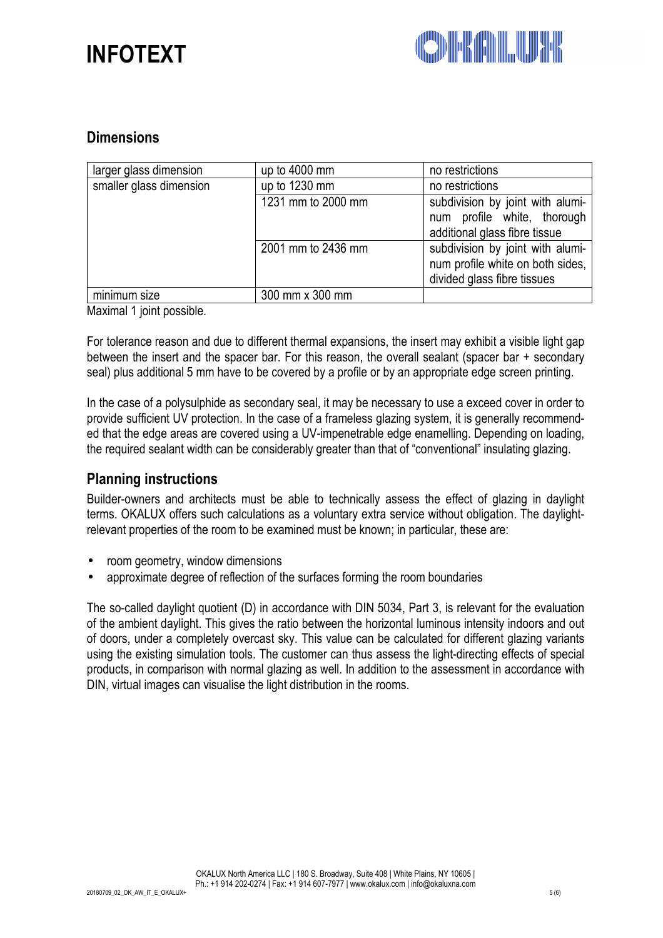



## **Dimensions**

| larger glass dimension  | up to 4000 mm      | no restrictions                  |
|-------------------------|--------------------|----------------------------------|
| smaller glass dimension | up to 1230 mm      | no restrictions                  |
|                         | 1231 mm to 2000 mm | subdivision by joint with alumi- |
|                         |                    | num profile white, thorough      |
|                         |                    | additional glass fibre tissue    |
|                         | 2001 mm to 2436 mm | subdivision by joint with alumi- |
|                         |                    | num profile white on both sides, |
|                         |                    | divided glass fibre tissues      |
| minimum size            | 300 mm x 300 mm    |                                  |

Maximal 1 joint possible.

For tolerance reason and due to different thermal expansions, the insert may exhibit a visible light gap between the insert and the spacer bar. For this reason, the overall sealant (spacer bar + secondary seal) plus additional 5 mm have to be covered by a profile or by an appropriate edge screen printing.

In the case of a polysulphide as secondary seal, it may be necessary to use a exceed cover in order to provide sufficient UV protection. In the case of a frameless glazing system, it is generally recommended that the edge areas are covered using a UV-impenetrable edge enamelling. Depending on loading, the required sealant width can be considerably greater than that of "conventional" insulating glazing.

## **Planning instructions**

Builder-owners and architects must be able to technically assess the effect of glazing in daylight terms. OKALUX offers such calculations as a voluntary extra service without obligation. The daylightrelevant properties of the room to be examined must be known; in particular, these are:

- room geometry, window dimensions
- approximate degree of reflection of the surfaces forming the room boundaries

The so-called daylight quotient (D) in accordance with DIN 5034, Part 3, is relevant for the evaluation of the ambient daylight. This gives the ratio between the horizontal luminous intensity indoors and out of doors, under a completely overcast sky. This value can be calculated for different glazing variants using the existing simulation tools. The customer can thus assess the light-directing effects of special products, in comparison with normal glazing as well. In addition to the assessment in accordance with DIN, virtual images can visualise the light distribution in the rooms.